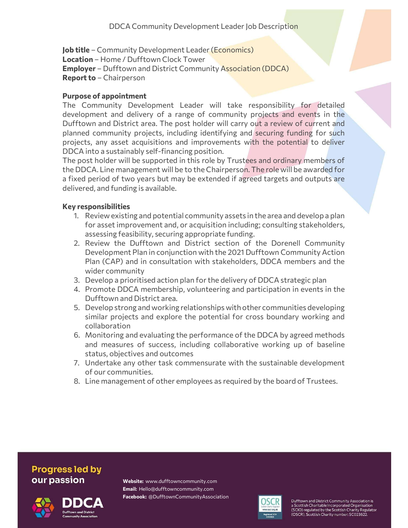Job title - Community Development Leader (Economics) Location – Home / Dufftown Clock Tower Employer – Dufftown and District Community Association (DDCA) Report to - Chairperson

## Purpose of appointment

The Community Development Leader will take responsibility for detailed development and delivery of a range of community projects and events in the Dufftown and District area. The post holder will carry out a review of current and planned community projects, including identifying and securing funding for such projects, any asset acquisitions and improvements with the potential to deliver DDCA into a sustainably self-financing position.

The post holder will be supported in this role by Trustees and ordinary members of the DDCA. Line management will be to the Chairperson. The role will be awarded for a fixed period of two years but may be extended if agreed targets and outputs are delivered, and funding is available.

## Key responsibilities

- 1. Review existing and potential community assets in the area and develop a plan for asset improvement and, or acquisition including; consulting stakeholders, assessing feasibility, securing appropriate funding.
- 2. Review the Dufftown and District section of the Dorenell Community Development Plan in conjunction with the 2021 Dufftown Community Action Plan (CAP) and in consultation with stakeholders, DDCA members and the wider community
- 3. Develop a prioritised action plan for the delivery of DDCA strategic plan
- 4. Promote DDCA membership, volunteering and participation in events in the Dufftown and District area.
- 5. Develop strong and working relationships with other communities developing similar projects and explore the potential for cross boundary working and collaboration
- 6. Monitoring and evaluating the performance of the DDCA by agreed methods and measures of success, including collaborative working up of baseline status, objectives and outcomes
- 7. Undertake any other task commensurate with the sustainable development of our communities.
- 8. Line management of other employees as required by the board of Trustees.

## **Progress led by** our passion





Website: www.dufftowncommunity.com Email: Hello@dufftowncommunity.com Facebook: @DufftownCommunityAssociation



Dufftown and District Community Association is<br>a Scottish Charitable Incorporated Organisation (SCIO) regulated by the Scottish Charity Regulator (OSCR), Scottish Charity number: SC023622.